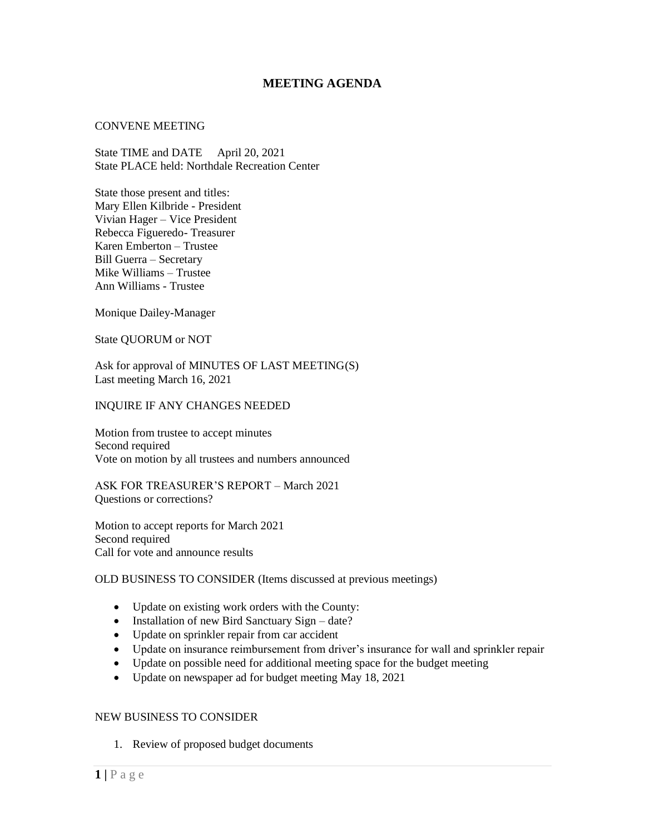# **MEETING AGENDA**

### CONVENE MEETING

State TIME and DATE April 20, 2021 State PLACE held: Northdale Recreation Center

State those present and titles: Mary Ellen Kilbride - President Vivian Hager – Vice President Rebecca Figueredo- Treasurer Karen Emberton – Trustee Bill Guerra – Secretary Mike Williams – Trustee Ann Williams - Trustee

Monique Dailey-Manager

State QUORUM or NOT

Ask for approval of MINUTES OF LAST MEETING(S) Last meeting March 16, 2021

### INQUIRE IF ANY CHANGES NEEDED

Motion from trustee to accept minutes Second required Vote on motion by all trustees and numbers announced

ASK FOR TREASURER'S REPORT – March 2021 Questions or corrections?

Motion to accept reports for March 2021 Second required Call for vote and announce results

## OLD BUSINESS TO CONSIDER (Items discussed at previous meetings)

- Update on existing work orders with the County:
- Installation of new Bird Sanctuary Sign date?
- Update on sprinkler repair from car accident
- Update on insurance reimbursement from driver's insurance for wall and sprinkler repair
- Update on possible need for additional meeting space for the budget meeting
- Update on newspaper ad for budget meeting May 18, 2021

## NEW BUSINESS TO CONSIDER

1. Review of proposed budget documents